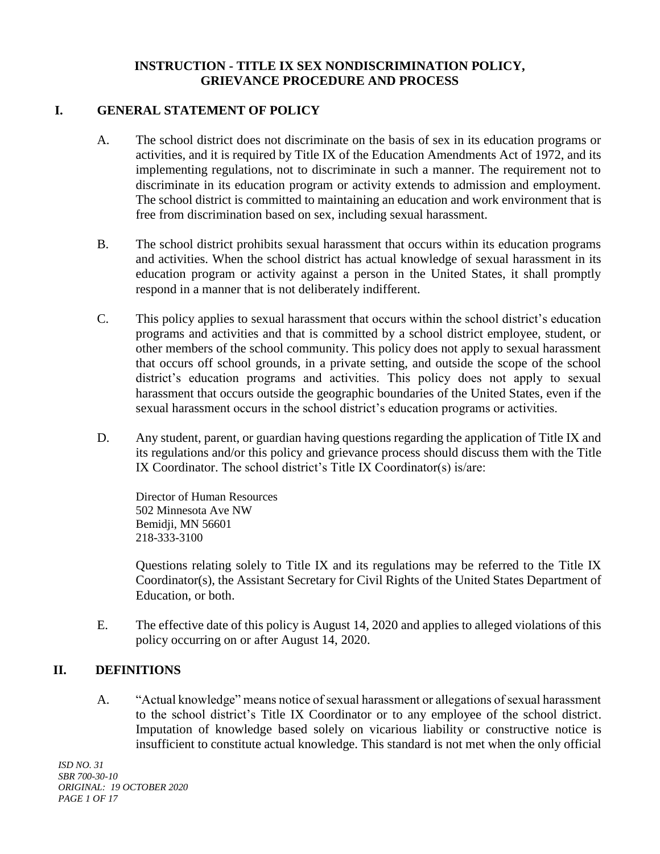## **INSTRUCTION - TITLE IX SEX NONDISCRIMINATION POLICY, GRIEVANCE PROCEDURE AND PROCESS**

## **I. GENERAL STATEMENT OF POLICY**

- A. The school district does not discriminate on the basis of sex in its education programs or activities, and it is required by Title IX of the Education Amendments Act of 1972, and its implementing regulations, not to discriminate in such a manner. The requirement not to discriminate in its education program or activity extends to admission and employment. The school district is committed to maintaining an education and work environment that is free from discrimination based on sex, including sexual harassment.
- B. The school district prohibits sexual harassment that occurs within its education programs and activities. When the school district has actual knowledge of sexual harassment in its education program or activity against a person in the United States, it shall promptly respond in a manner that is not deliberately indifferent.
- C. This policy applies to sexual harassment that occurs within the school district's education programs and activities and that is committed by a school district employee, student, or other members of the school community. This policy does not apply to sexual harassment that occurs off school grounds, in a private setting, and outside the scope of the school district's education programs and activities. This policy does not apply to sexual harassment that occurs outside the geographic boundaries of the United States, even if the sexual harassment occurs in the school district's education programs or activities.
- D. Any student, parent, or guardian having questions regarding the application of Title IX and its regulations and/or this policy and grievance process should discuss them with the Title IX Coordinator. The school district's Title IX Coordinator(s) is/are:

Director of Human Resources 502 Minnesota Ave NW Bemidji, MN 56601 218-333-3100

Questions relating solely to Title IX and its regulations may be referred to the Title IX Coordinator(s), the Assistant Secretary for Civil Rights of the United States Department of Education, or both.

E. The effective date of this policy is August 14, 2020 and applies to alleged violations of this policy occurring on or after August 14, 2020.

# **II. DEFINITIONS**

A. "Actual knowledge" means notice of sexual harassment or allegations of sexual harassment to the school district's Title IX Coordinator or to any employee of the school district. Imputation of knowledge based solely on vicarious liability or constructive notice is insufficient to constitute actual knowledge. This standard is not met when the only official

*ISD NO. 31 SBR 700-30-10 ORIGINAL: 19 OCTOBER 2020 PAGE 1 OF 17*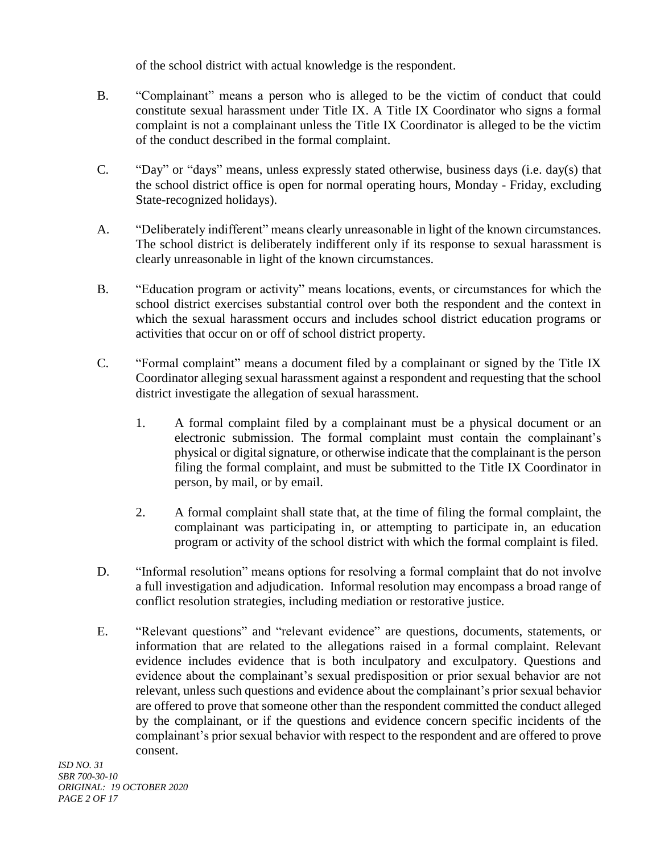of the school district with actual knowledge is the respondent.

- B. "Complainant" means a person who is alleged to be the victim of conduct that could constitute sexual harassment under Title IX. A Title IX Coordinator who signs a formal complaint is not a complainant unless the Title IX Coordinator is alleged to be the victim of the conduct described in the formal complaint.
- C. "Day" or "days" means, unless expressly stated otherwise, business days (i.e. day(s) that the school district office is open for normal operating hours, Monday - Friday, excluding State-recognized holidays).
- A. "Deliberately indifferent" means clearly unreasonable in light of the known circumstances. The school district is deliberately indifferent only if its response to sexual harassment is clearly unreasonable in light of the known circumstances.
- B. "Education program or activity" means locations, events, or circumstances for which the school district exercises substantial control over both the respondent and the context in which the sexual harassment occurs and includes school district education programs or activities that occur on or off of school district property.
- C. "Formal complaint" means a document filed by a complainant or signed by the Title IX Coordinator alleging sexual harassment against a respondent and requesting that the school district investigate the allegation of sexual harassment.
	- 1. A formal complaint filed by a complainant must be a physical document or an electronic submission. The formal complaint must contain the complainant's physical or digital signature, or otherwise indicate that the complainant is the person filing the formal complaint, and must be submitted to the Title IX Coordinator in person, by mail, or by email.
	- 2. A formal complaint shall state that, at the time of filing the formal complaint, the complainant was participating in, or attempting to participate in, an education program or activity of the school district with which the formal complaint is filed.
- D. "Informal resolution" means options for resolving a formal complaint that do not involve a full investigation and adjudication. Informal resolution may encompass a broad range of conflict resolution strategies, including mediation or restorative justice.
- E. "Relevant questions" and "relevant evidence" are questions, documents, statements, or information that are related to the allegations raised in a formal complaint. Relevant evidence includes evidence that is both inculpatory and exculpatory. Questions and evidence about the complainant's sexual predisposition or prior sexual behavior are not relevant, unless such questions and evidence about the complainant's prior sexual behavior are offered to prove that someone other than the respondent committed the conduct alleged by the complainant, or if the questions and evidence concern specific incidents of the complainant's prior sexual behavior with respect to the respondent and are offered to prove consent.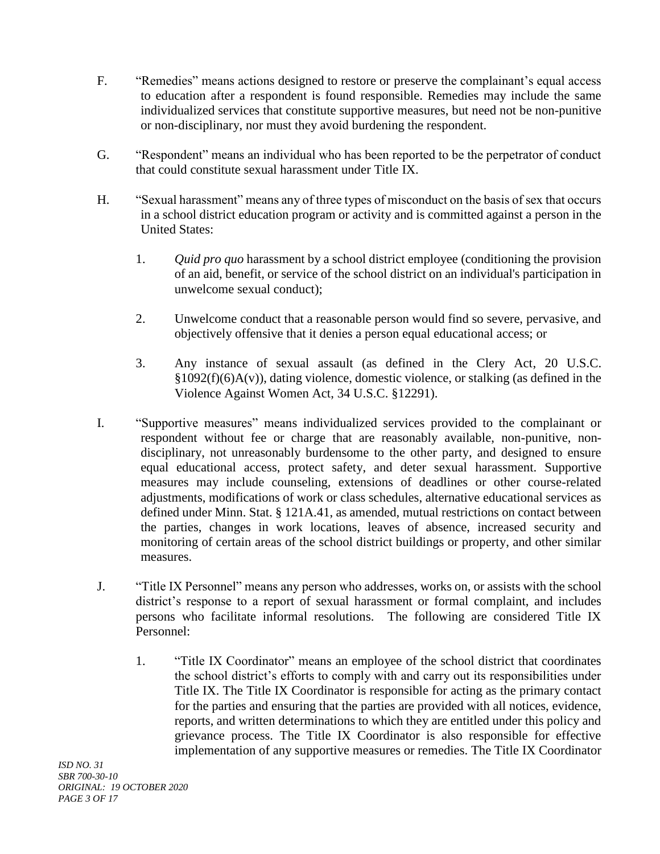- F. "Remedies" means actions designed to restore or preserve the complainant's equal access to education after a respondent is found responsible. Remedies may include the same individualized services that constitute supportive measures, but need not be non-punitive or non-disciplinary, nor must they avoid burdening the respondent.
- G. "Respondent" means an individual who has been reported to be the perpetrator of conduct that could constitute sexual harassment under Title IX.
- H. "Sexual harassment" means any of three types of misconduct on the basis of sex that occurs in a school district education program or activity and is committed against a person in the United States:
	- 1. *Quid pro quo* harassment by a school district employee (conditioning the provision of an aid, benefit, or service of the school district on an individual's participation in unwelcome sexual conduct);
	- 2. Unwelcome conduct that a reasonable person would find so severe, pervasive, and objectively offensive that it denies a person equal educational access; or
	- 3. Any instance of sexual assault (as defined in the Clery Act, 20 U.S.C.  $§1092(f)(6)A(v)$ , dating violence, domestic violence, or stalking (as defined in the Violence Against Women Act, 34 U.S.C. §12291).
- I. "Supportive measures" means individualized services provided to the complainant or respondent without fee or charge that are reasonably available, non-punitive, nondisciplinary, not unreasonably burdensome to the other party, and designed to ensure equal educational access, protect safety, and deter sexual harassment. Supportive measures may include counseling, extensions of deadlines or other course-related adjustments, modifications of work or class schedules, alternative educational services as defined under Minn. Stat. § 121A.41, as amended, mutual restrictions on contact between the parties, changes in work locations, leaves of absence, increased security and monitoring of certain areas of the school district buildings or property, and other similar measures.
- J. "Title IX Personnel" means any person who addresses, works on, or assists with the school district's response to a report of sexual harassment or formal complaint, and includes persons who facilitate informal resolutions. The following are considered Title IX Personnel:
	- 1. "Title IX Coordinator" means an employee of the school district that coordinates the school district's efforts to comply with and carry out its responsibilities under Title IX. The Title IX Coordinator is responsible for acting as the primary contact for the parties and ensuring that the parties are provided with all notices, evidence, reports, and written determinations to which they are entitled under this policy and grievance process. The Title IX Coordinator is also responsible for effective implementation of any supportive measures or remedies. The Title IX Coordinator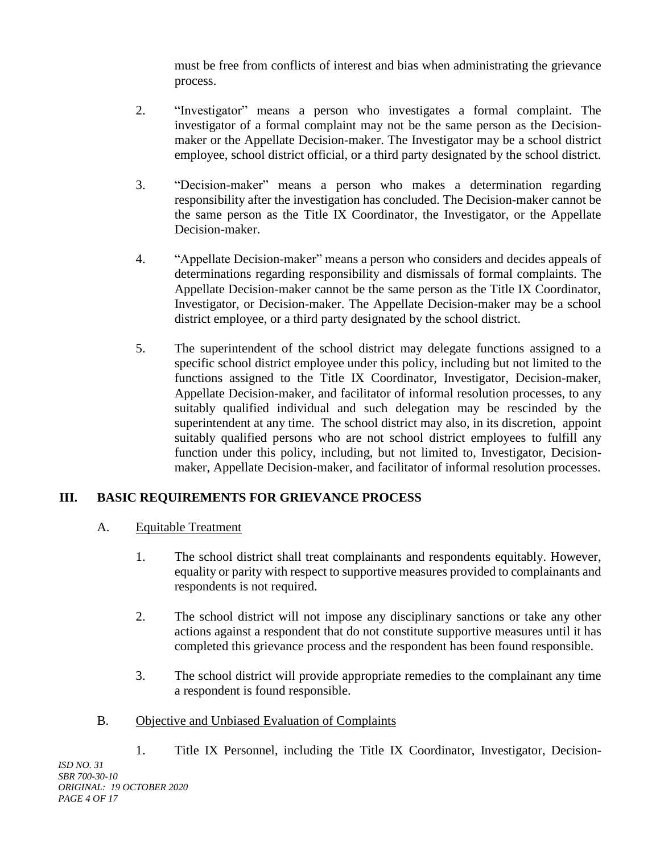must be free from conflicts of interest and bias when administrating the grievance process.

- 2. "Investigator" means a person who investigates a formal complaint. The investigator of a formal complaint may not be the same person as the Decisionmaker or the Appellate Decision-maker. The Investigator may be a school district employee, school district official, or a third party designated by the school district.
- 3. "Decision-maker" means a person who makes a determination regarding responsibility after the investigation has concluded. The Decision-maker cannot be the same person as the Title IX Coordinator, the Investigator, or the Appellate Decision-maker.
- 4. "Appellate Decision-maker" means a person who considers and decides appeals of determinations regarding responsibility and dismissals of formal complaints. The Appellate Decision-maker cannot be the same person as the Title IX Coordinator, Investigator, or Decision-maker. The Appellate Decision-maker may be a school district employee, or a third party designated by the school district.
- 5. The superintendent of the school district may delegate functions assigned to a specific school district employee under this policy, including but not limited to the functions assigned to the Title IX Coordinator, Investigator, Decision-maker, Appellate Decision-maker, and facilitator of informal resolution processes, to any suitably qualified individual and such delegation may be rescinded by the superintendent at any time. The school district may also, in its discretion, appoint suitably qualified persons who are not school district employees to fulfill any function under this policy, including, but not limited to, Investigator, Decisionmaker, Appellate Decision-maker, and facilitator of informal resolution processes.

# **III. BASIC REQUIREMENTS FOR GRIEVANCE PROCESS**

# A. Equitable Treatment

- 1. The school district shall treat complainants and respondents equitably. However, equality or parity with respect to supportive measures provided to complainants and respondents is not required.
- 2. The school district will not impose any disciplinary sanctions or take any other actions against a respondent that do not constitute supportive measures until it has completed this grievance process and the respondent has been found responsible.
- 3. The school district will provide appropriate remedies to the complainant any time a respondent is found responsible.

# B. Objective and Unbiased Evaluation of Complaints

1. Title IX Personnel, including the Title IX Coordinator, Investigator, Decision-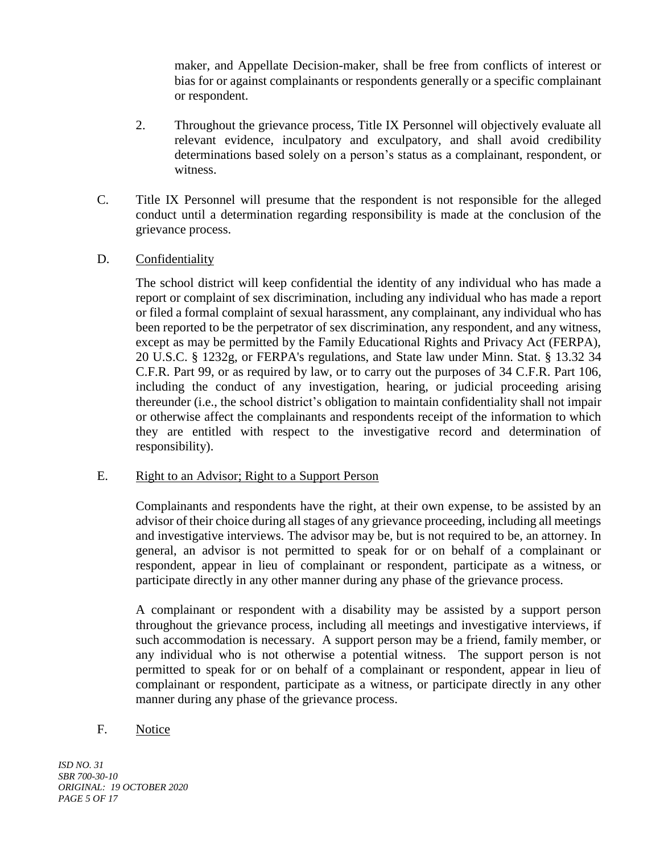maker, and Appellate Decision-maker, shall be free from conflicts of interest or bias for or against complainants or respondents generally or a specific complainant or respondent.

- 2. Throughout the grievance process, Title IX Personnel will objectively evaluate all relevant evidence, inculpatory and exculpatory, and shall avoid credibility determinations based solely on a person's status as a complainant, respondent, or witness.
- C. Title IX Personnel will presume that the respondent is not responsible for the alleged conduct until a determination regarding responsibility is made at the conclusion of the grievance process.
- D. Confidentiality

The school district will keep confidential the identity of any individual who has made a report or complaint of sex discrimination, including any individual who has made a report or filed a formal complaint of sexual harassment, any complainant, any individual who has been reported to be the perpetrator of sex discrimination, any respondent, and any witness, except as may be permitted by the Family Educational Rights and Privacy Act (FERPA), 20 U.S.C. § 1232g, or FERPA's regulations, and State law under Minn. Stat. § 13.32 34 C.F.R. Part 99, or as required by law, or to carry out the purposes of 34 C.F.R. Part 106, including the conduct of any investigation, hearing, or judicial proceeding arising thereunder (i.e., the school district's obligation to maintain confidentiality shall not impair or otherwise affect the complainants and respondents receipt of the information to which they are entitled with respect to the investigative record and determination of responsibility).

#### E. Right to an Advisor; Right to a Support Person

Complainants and respondents have the right, at their own expense, to be assisted by an advisor of their choice during all stages of any grievance proceeding, including all meetings and investigative interviews. The advisor may be, but is not required to be, an attorney. In general, an advisor is not permitted to speak for or on behalf of a complainant or respondent, appear in lieu of complainant or respondent, participate as a witness, or participate directly in any other manner during any phase of the grievance process.

A complainant or respondent with a disability may be assisted by a support person throughout the grievance process, including all meetings and investigative interviews, if such accommodation is necessary. A support person may be a friend, family member, or any individual who is not otherwise a potential witness. The support person is not permitted to speak for or on behalf of a complainant or respondent, appear in lieu of complainant or respondent, participate as a witness, or participate directly in any other manner during any phase of the grievance process.

#### F. Notice

*ISD NO. 31 SBR 700-30-10 ORIGINAL: 19 OCTOBER 2020 PAGE 5 OF 17*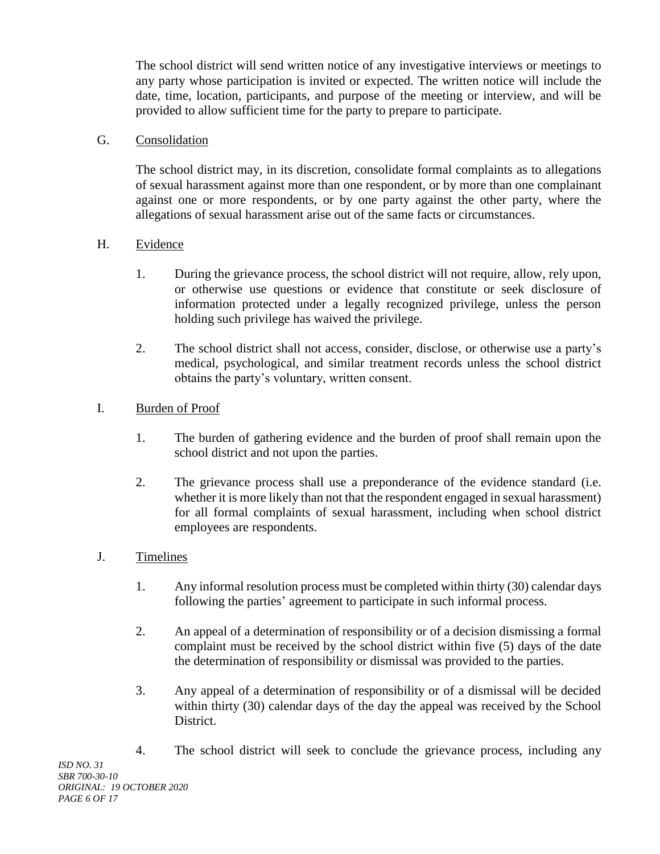The school district will send written notice of any investigative interviews or meetings to any party whose participation is invited or expected. The written notice will include the date, time, location, participants, and purpose of the meeting or interview, and will be provided to allow sufficient time for the party to prepare to participate.

## G. Consolidation

The school district may, in its discretion, consolidate formal complaints as to allegations of sexual harassment against more than one respondent, or by more than one complainant against one or more respondents, or by one party against the other party, where the allegations of sexual harassment arise out of the same facts or circumstances.

## H. Evidence

- 1. During the grievance process, the school district will not require, allow, rely upon, or otherwise use questions or evidence that constitute or seek disclosure of information protected under a legally recognized privilege, unless the person holding such privilege has waived the privilege.
- 2. The school district shall not access, consider, disclose, or otherwise use a party's medical, psychological, and similar treatment records unless the school district obtains the party's voluntary, written consent.

## I. Burden of Proof

- 1. The burden of gathering evidence and the burden of proof shall remain upon the school district and not upon the parties.
- 2. The grievance process shall use a preponderance of the evidence standard (i.e. whether it is more likely than not that the respondent engaged in sexual harassment) for all formal complaints of sexual harassment, including when school district employees are respondents.

# J. Timelines

- 1. Any informal resolution process must be completed within thirty (30) calendar days following the parties' agreement to participate in such informal process.
- 2. An appeal of a determination of responsibility or of a decision dismissing a formal complaint must be received by the school district within five (5) days of the date the determination of responsibility or dismissal was provided to the parties.
- 3. Any appeal of a determination of responsibility or of a dismissal will be decided within thirty (30) calendar days of the day the appeal was received by the School District.
- 4. The school district will seek to conclude the grievance process, including any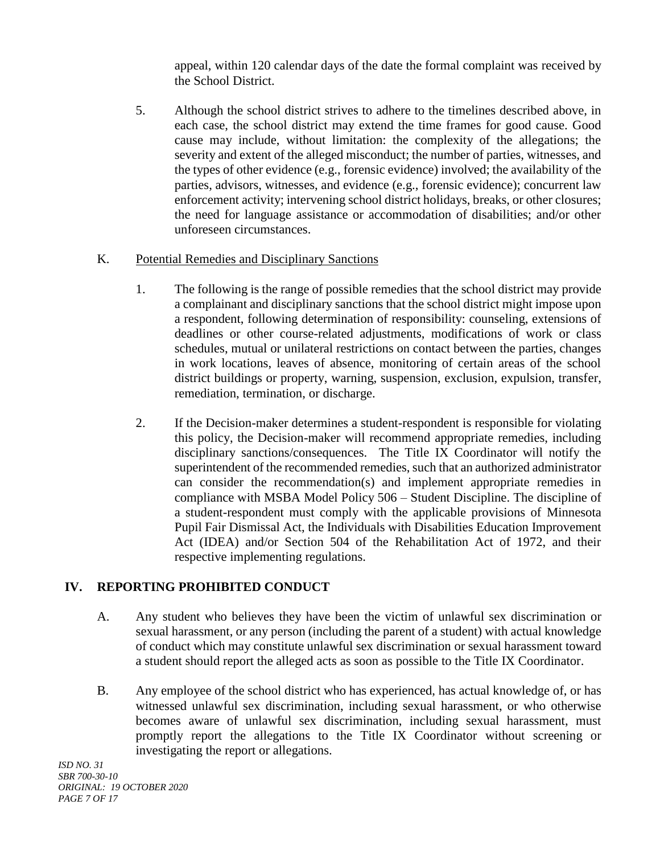appeal, within 120 calendar days of the date the formal complaint was received by the School District.

5. Although the school district strives to adhere to the timelines described above, in each case, the school district may extend the time frames for good cause. Good cause may include, without limitation: the complexity of the allegations; the severity and extent of the alleged misconduct; the number of parties, witnesses, and the types of other evidence (e.g., forensic evidence) involved; the availability of the parties, advisors, witnesses, and evidence (e.g., forensic evidence); concurrent law enforcement activity; intervening school district holidays, breaks, or other closures; the need for language assistance or accommodation of disabilities; and/or other unforeseen circumstances.

## K. Potential Remedies and Disciplinary Sanctions

- 1. The following is the range of possible remedies that the school district may provide a complainant and disciplinary sanctions that the school district might impose upon a respondent, following determination of responsibility: counseling, extensions of deadlines or other course-related adjustments, modifications of work or class schedules, mutual or unilateral restrictions on contact between the parties, changes in work locations, leaves of absence, monitoring of certain areas of the school district buildings or property, warning, suspension, exclusion, expulsion, transfer, remediation, termination, or discharge.
- 2. If the Decision-maker determines a student-respondent is responsible for violating this policy, the Decision-maker will recommend appropriate remedies, including disciplinary sanctions/consequences. The Title IX Coordinator will notify the superintendent of the recommended remedies, such that an authorized administrator can consider the recommendation(s) and implement appropriate remedies in compliance with MSBA Model Policy 506 – Student Discipline. The discipline of a student-respondent must comply with the applicable provisions of Minnesota Pupil Fair Dismissal Act, the Individuals with Disabilities Education Improvement Act (IDEA) and/or Section 504 of the Rehabilitation Act of 1972, and their respective implementing regulations.

# **IV. REPORTING PROHIBITED CONDUCT**

- A. Any student who believes they have been the victim of unlawful sex discrimination or sexual harassment, or any person (including the parent of a student) with actual knowledge of conduct which may constitute unlawful sex discrimination or sexual harassment toward a student should report the alleged acts as soon as possible to the Title IX Coordinator.
- B. Any employee of the school district who has experienced, has actual knowledge of, or has witnessed unlawful sex discrimination, including sexual harassment, or who otherwise becomes aware of unlawful sex discrimination, including sexual harassment, must promptly report the allegations to the Title IX Coordinator without screening or investigating the report or allegations.

*ISD NO. 31 SBR 700-30-10 ORIGINAL: 19 OCTOBER 2020 PAGE 7 OF 17*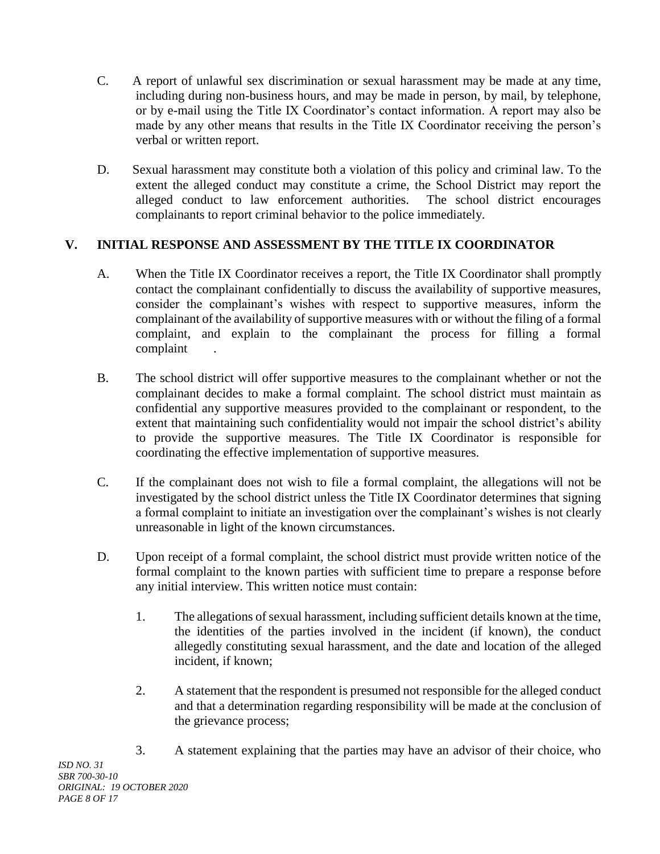- C. A report of unlawful sex discrimination or sexual harassment may be made at any time, including during non-business hours, and may be made in person, by mail, by telephone, or by e-mail using the Title IX Coordinator's contact information. A report may also be made by any other means that results in the Title IX Coordinator receiving the person's verbal or written report.
- D. Sexual harassment may constitute both a violation of this policy and criminal law. To the extent the alleged conduct may constitute a crime, the School District may report the alleged conduct to law enforcement authorities. The school district encourages complainants to report criminal behavior to the police immediately.

# **V. INITIAL RESPONSE AND ASSESSMENT BY THE TITLE IX COORDINATOR**

- A. When the Title IX Coordinator receives a report, the Title IX Coordinator shall promptly contact the complainant confidentially to discuss the availability of supportive measures, consider the complainant's wishes with respect to supportive measures, inform the complainant of the availability of supportive measures with or without the filing of a formal complaint, and explain to the complainant the process for filling a formal complaint .
- B. The school district will offer supportive measures to the complainant whether or not the complainant decides to make a formal complaint. The school district must maintain as confidential any supportive measures provided to the complainant or respondent, to the extent that maintaining such confidentiality would not impair the school district's ability to provide the supportive measures. The Title IX Coordinator is responsible for coordinating the effective implementation of supportive measures.
- C. If the complainant does not wish to file a formal complaint, the allegations will not be investigated by the school district unless the Title IX Coordinator determines that signing a formal complaint to initiate an investigation over the complainant's wishes is not clearly unreasonable in light of the known circumstances.
- D. Upon receipt of a formal complaint, the school district must provide written notice of the formal complaint to the known parties with sufficient time to prepare a response before any initial interview. This written notice must contain:
	- 1. The allegations of sexual harassment, including sufficient details known at the time, the identities of the parties involved in the incident (if known), the conduct allegedly constituting sexual harassment, and the date and location of the alleged incident, if known;
	- 2. A statement that the respondent is presumed not responsible for the alleged conduct and that a determination regarding responsibility will be made at the conclusion of the grievance process;
	- 3. A statement explaining that the parties may have an advisor of their choice, who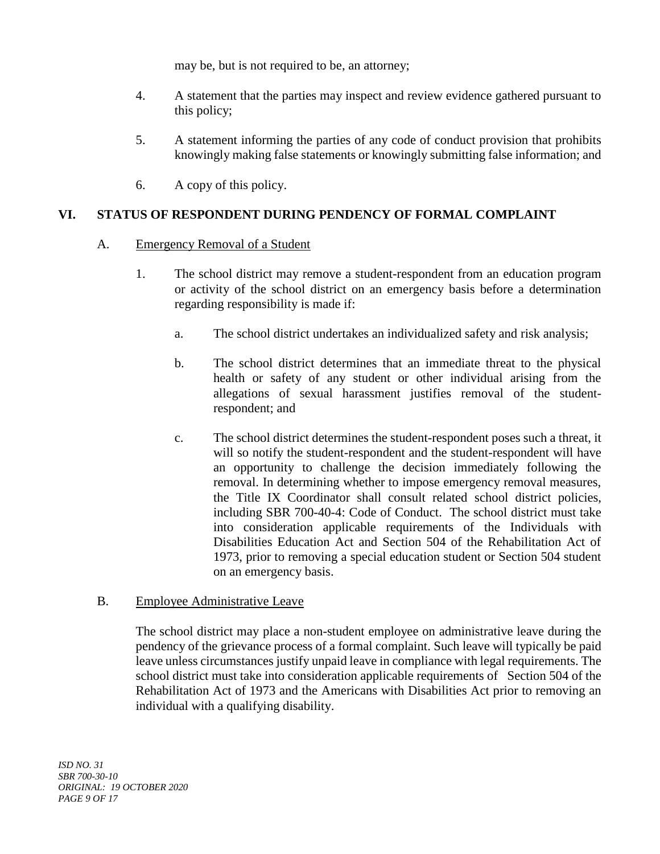may be, but is not required to be, an attorney;

- 4. A statement that the parties may inspect and review evidence gathered pursuant to this policy;
- 5. A statement informing the parties of any code of conduct provision that prohibits knowingly making false statements or knowingly submitting false information; and
- 6. A copy of this policy.

# **VI. STATUS OF RESPONDENT DURING PENDENCY OF FORMAL COMPLAINT**

#### A. Emergency Removal of a Student

- 1. The school district may remove a student-respondent from an education program or activity of the school district on an emergency basis before a determination regarding responsibility is made if:
	- a. The school district undertakes an individualized safety and risk analysis;
	- b. The school district determines that an immediate threat to the physical health or safety of any student or other individual arising from the allegations of sexual harassment justifies removal of the studentrespondent; and
	- c. The school district determines the student-respondent poses such a threat, it will so notify the student-respondent and the student-respondent will have an opportunity to challenge the decision immediately following the removal. In determining whether to impose emergency removal measures, the Title IX Coordinator shall consult related school district policies, including SBR 700-40-4: Code of Conduct. The school district must take into consideration applicable requirements of the Individuals with Disabilities Education Act and Section 504 of the Rehabilitation Act of 1973, prior to removing a special education student or Section 504 student on an emergency basis.

#### B. Employee Administrative Leave

The school district may place a non-student employee on administrative leave during the pendency of the grievance process of a formal complaint. Such leave will typically be paid leave unless circumstances justify unpaid leave in compliance with legal requirements. The school district must take into consideration applicable requirements of Section 504 of the Rehabilitation Act of 1973 and the Americans with Disabilities Act prior to removing an individual with a qualifying disability.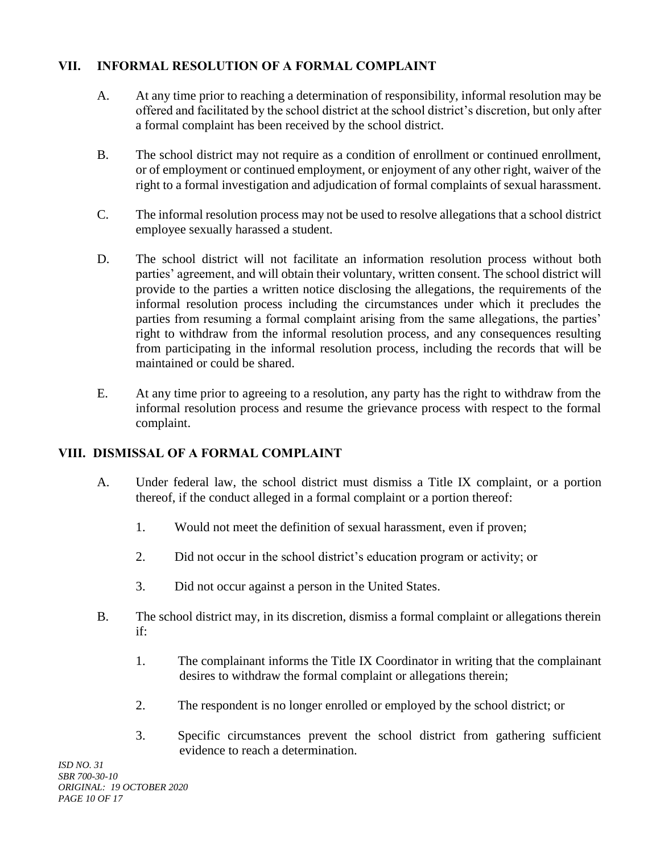# **VII. INFORMAL RESOLUTION OF A FORMAL COMPLAINT**

- A. At any time prior to reaching a determination of responsibility, informal resolution may be offered and facilitated by the school district at the school district's discretion, but only after a formal complaint has been received by the school district.
- B. The school district may not require as a condition of enrollment or continued enrollment, or of employment or continued employment, or enjoyment of any other right, waiver of the right to a formal investigation and adjudication of formal complaints of sexual harassment.
- C. The informal resolution process may not be used to resolve allegations that a school district employee sexually harassed a student.
- D. The school district will not facilitate an information resolution process without both parties' agreement, and will obtain their voluntary, written consent. The school district will provide to the parties a written notice disclosing the allegations, the requirements of the informal resolution process including the circumstances under which it precludes the parties from resuming a formal complaint arising from the same allegations, the parties' right to withdraw from the informal resolution process, and any consequences resulting from participating in the informal resolution process, including the records that will be maintained or could be shared.
- E. At any time prior to agreeing to a resolution, any party has the right to withdraw from the informal resolution process and resume the grievance process with respect to the formal complaint.

# **VIII. DISMISSAL OF A FORMAL COMPLAINT**

- A. Under federal law, the school district must dismiss a Title IX complaint, or a portion thereof, if the conduct alleged in a formal complaint or a portion thereof:
	- 1. Would not meet the definition of sexual harassment, even if proven;
	- 2. Did not occur in the school district's education program or activity; or
	- 3. Did not occur against a person in the United States.
- B. The school district may, in its discretion, dismiss a formal complaint or allegations therein if:
	- 1. The complainant informs the Title IX Coordinator in writing that the complainant desires to withdraw the formal complaint or allegations therein;
	- 2. The respondent is no longer enrolled or employed by the school district; or
	- 3. Specific circumstances prevent the school district from gathering sufficient evidence to reach a determination.

*ISD NO. 31 SBR 700-30-10 ORIGINAL: 19 OCTOBER 2020 PAGE 10 OF 17*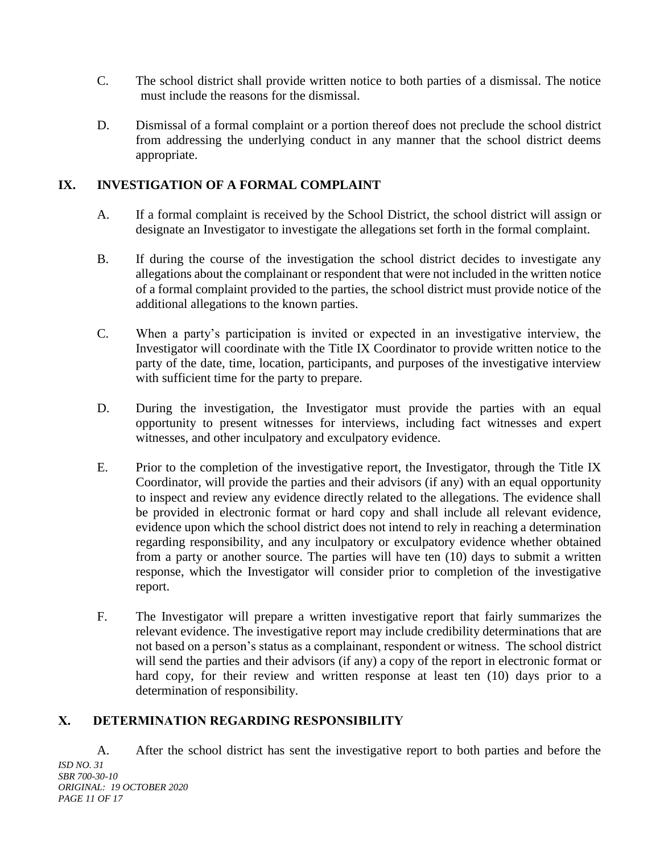- C. The school district shall provide written notice to both parties of a dismissal. The notice must include the reasons for the dismissal.
- D. Dismissal of a formal complaint or a portion thereof does not preclude the school district from addressing the underlying conduct in any manner that the school district deems appropriate.

# **IX. INVESTIGATION OF A FORMAL COMPLAINT**

- A. If a formal complaint is received by the School District, the school district will assign or designate an Investigator to investigate the allegations set forth in the formal complaint.
- B. If during the course of the investigation the school district decides to investigate any allegations about the complainant or respondent that were not included in the written notice of a formal complaint provided to the parties, the school district must provide notice of the additional allegations to the known parties.
- C. When a party's participation is invited or expected in an investigative interview, the Investigator will coordinate with the Title IX Coordinator to provide written notice to the party of the date, time, location, participants, and purposes of the investigative interview with sufficient time for the party to prepare.
- D. During the investigation, the Investigator must provide the parties with an equal opportunity to present witnesses for interviews, including fact witnesses and expert witnesses, and other inculpatory and exculpatory evidence.
- E. Prior to the completion of the investigative report, the Investigator, through the Title IX Coordinator, will provide the parties and their advisors (if any) with an equal opportunity to inspect and review any evidence directly related to the allegations. The evidence shall be provided in electronic format or hard copy and shall include all relevant evidence, evidence upon which the school district does not intend to rely in reaching a determination regarding responsibility, and any inculpatory or exculpatory evidence whether obtained from a party or another source. The parties will have ten (10) days to submit a written response, which the Investigator will consider prior to completion of the investigative report.
- F. The Investigator will prepare a written investigative report that fairly summarizes the relevant evidence. The investigative report may include credibility determinations that are not based on a person's status as a complainant, respondent or witness. The school district will send the parties and their advisors (if any) a copy of the report in electronic format or hard copy, for their review and written response at least ten (10) days prior to a determination of responsibility.

# **X. DETERMINATION REGARDING RESPONSIBILITY**

*ISD NO. 31 SBR 700-30-10 ORIGINAL: 19 OCTOBER 2020 PAGE 11 OF 17* A. After the school district has sent the investigative report to both parties and before the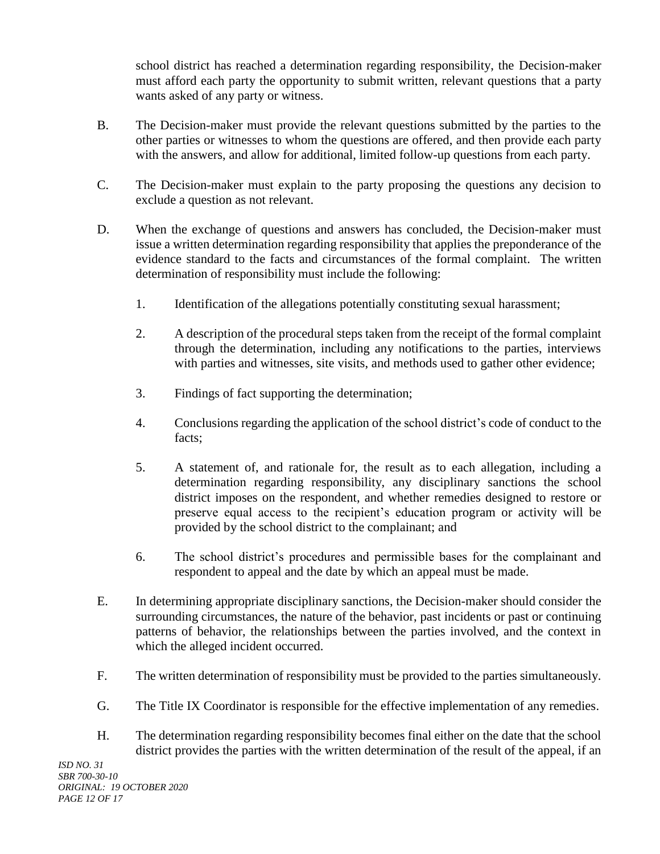school district has reached a determination regarding responsibility, the Decision-maker must afford each party the opportunity to submit written, relevant questions that a party wants asked of any party or witness.

- B. The Decision-maker must provide the relevant questions submitted by the parties to the other parties or witnesses to whom the questions are offered, and then provide each party with the answers, and allow for additional, limited follow-up questions from each party.
- C. The Decision-maker must explain to the party proposing the questions any decision to exclude a question as not relevant.
- D. When the exchange of questions and answers has concluded, the Decision-maker must issue a written determination regarding responsibility that applies the preponderance of the evidence standard to the facts and circumstances of the formal complaint. The written determination of responsibility must include the following:
	- 1. Identification of the allegations potentially constituting sexual harassment;
	- 2. A description of the procedural steps taken from the receipt of the formal complaint through the determination, including any notifications to the parties, interviews with parties and witnesses, site visits, and methods used to gather other evidence;
	- 3. Findings of fact supporting the determination;
	- 4. Conclusions regarding the application of the school district's code of conduct to the facts;
	- 5. A statement of, and rationale for, the result as to each allegation, including a determination regarding responsibility, any disciplinary sanctions the school district imposes on the respondent, and whether remedies designed to restore or preserve equal access to the recipient's education program or activity will be provided by the school district to the complainant; and
	- 6. The school district's procedures and permissible bases for the complainant and respondent to appeal and the date by which an appeal must be made.
- E. In determining appropriate disciplinary sanctions, the Decision-maker should consider the surrounding circumstances, the nature of the behavior, past incidents or past or continuing patterns of behavior, the relationships between the parties involved, and the context in which the alleged incident occurred.
- F. The written determination of responsibility must be provided to the parties simultaneously.
- G. The Title IX Coordinator is responsible for the effective implementation of any remedies.
- H. The determination regarding responsibility becomes final either on the date that the school district provides the parties with the written determination of the result of the appeal, if an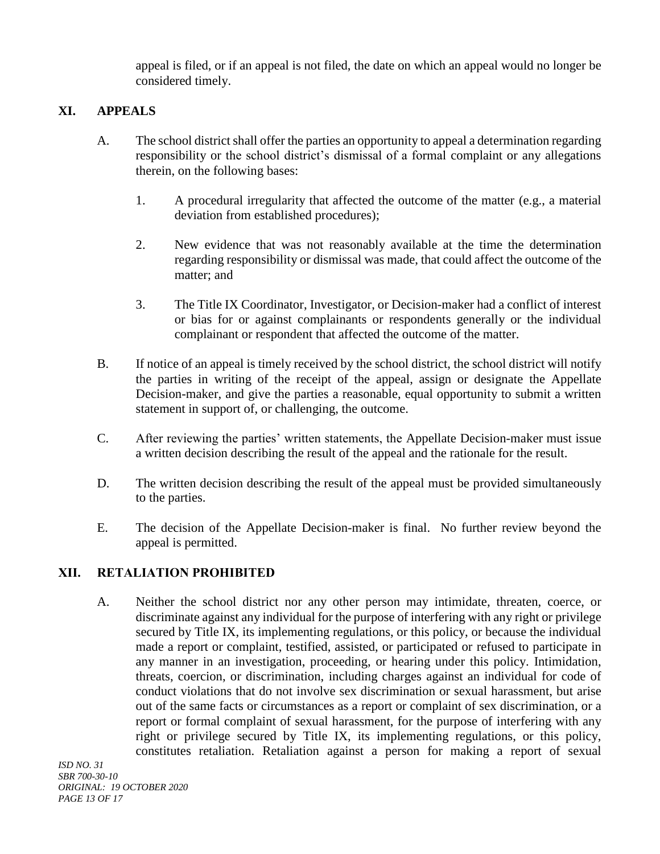appeal is filed, or if an appeal is not filed, the date on which an appeal would no longer be considered timely.

# **XI. APPEALS**

- A. The school district shall offer the parties an opportunity to appeal a determination regarding responsibility or the school district's dismissal of a formal complaint or any allegations therein, on the following bases:
	- 1. A procedural irregularity that affected the outcome of the matter (e.g., a material deviation from established procedures);
	- 2. New evidence that was not reasonably available at the time the determination regarding responsibility or dismissal was made, that could affect the outcome of the matter; and
	- 3. The Title IX Coordinator, Investigator, or Decision-maker had a conflict of interest or bias for or against complainants or respondents generally or the individual complainant or respondent that affected the outcome of the matter.
- B. If notice of an appeal is timely received by the school district, the school district will notify the parties in writing of the receipt of the appeal, assign or designate the Appellate Decision-maker, and give the parties a reasonable, equal opportunity to submit a written statement in support of, or challenging, the outcome.
- C. After reviewing the parties' written statements, the Appellate Decision-maker must issue a written decision describing the result of the appeal and the rationale for the result.
- D. The written decision describing the result of the appeal must be provided simultaneously to the parties.
- E. The decision of the Appellate Decision-maker is final. No further review beyond the appeal is permitted.

# **XII. RETALIATION PROHIBITED**

A. Neither the school district nor any other person may intimidate, threaten, coerce, or discriminate against any individual for the purpose of interfering with any right or privilege secured by Title IX, its implementing regulations, or this policy, or because the individual made a report or complaint, testified, assisted, or participated or refused to participate in any manner in an investigation, proceeding, or hearing under this policy. Intimidation, threats, coercion, or discrimination, including charges against an individual for code of conduct violations that do not involve sex discrimination or sexual harassment, but arise out of the same facts or circumstances as a report or complaint of sex discrimination, or a report or formal complaint of sexual harassment, for the purpose of interfering with any right or privilege secured by Title IX, its implementing regulations, or this policy, constitutes retaliation. Retaliation against a person for making a report of sexual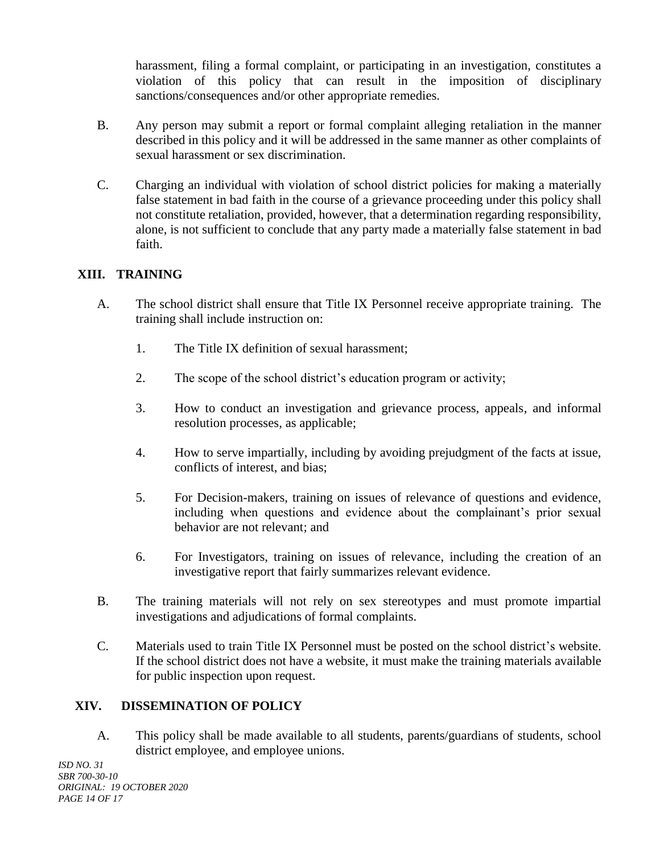harassment, filing a formal complaint, or participating in an investigation, constitutes a violation of this policy that can result in the imposition of disciplinary sanctions/consequences and/or other appropriate remedies.

- B. Any person may submit a report or formal complaint alleging retaliation in the manner described in this policy and it will be addressed in the same manner as other complaints of sexual harassment or sex discrimination.
- C. Charging an individual with violation of school district policies for making a materially false statement in bad faith in the course of a grievance proceeding under this policy shall not constitute retaliation, provided, however, that a determination regarding responsibility, alone, is not sufficient to conclude that any party made a materially false statement in bad faith.

# **XIII. TRAINING**

- A. The school district shall ensure that Title IX Personnel receive appropriate training. The training shall include instruction on:
	- 1. The Title IX definition of sexual harassment;
	- 2. The scope of the school district's education program or activity;
	- 3. How to conduct an investigation and grievance process, appeals, and informal resolution processes, as applicable;
	- 4. How to serve impartially, including by avoiding prejudgment of the facts at issue, conflicts of interest, and bias;
	- 5. For Decision-makers, training on issues of relevance of questions and evidence, including when questions and evidence about the complainant's prior sexual behavior are not relevant; and
	- 6. For Investigators, training on issues of relevance, including the creation of an investigative report that fairly summarizes relevant evidence.
- B. The training materials will not rely on sex stereotypes and must promote impartial investigations and adjudications of formal complaints.
- C. Materials used to train Title IX Personnel must be posted on the school district's website. If the school district does not have a website, it must make the training materials available for public inspection upon request.

# **XIV. DISSEMINATION OF POLICY**

A. This policy shall be made available to all students, parents/guardians of students, school district employee, and employee unions.

*ISD NO. 31 SBR 700-30-10 ORIGINAL: 19 OCTOBER 2020 PAGE 14 OF 17*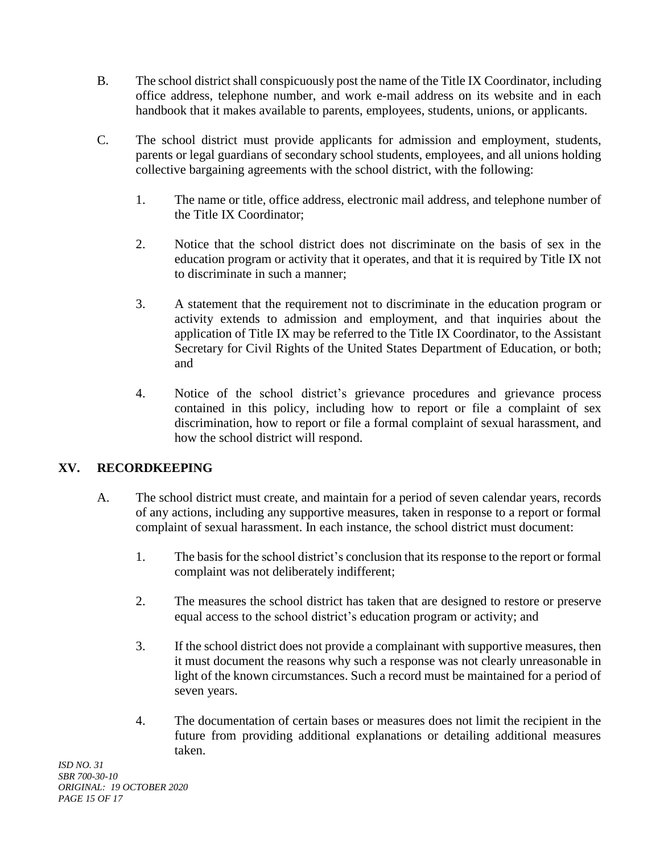- B. The school district shall conspicuously post the name of the Title IX Coordinator, including office address, telephone number, and work e-mail address on its website and in each handbook that it makes available to parents, employees, students, unions, or applicants.
- C. The school district must provide applicants for admission and employment, students, parents or legal guardians of secondary school students, employees, and all unions holding collective bargaining agreements with the school district, with the following:
	- 1. The name or title, office address, electronic mail address, and telephone number of the Title IX Coordinator;
	- 2. Notice that the school district does not discriminate on the basis of sex in the education program or activity that it operates, and that it is required by Title IX not to discriminate in such a manner;
	- 3. A statement that the requirement not to discriminate in the education program or activity extends to admission and employment, and that inquiries about the application of Title IX may be referred to the Title IX Coordinator, to the Assistant Secretary for Civil Rights of the United States Department of Education, or both; and
	- 4. Notice of the school district's grievance procedures and grievance process contained in this policy, including how to report or file a complaint of sex discrimination, how to report or file a formal complaint of sexual harassment, and how the school district will respond.

# **XV. RECORDKEEPING**

- A. The school district must create, and maintain for a period of seven calendar years, records of any actions, including any supportive measures, taken in response to a report or formal complaint of sexual harassment. In each instance, the school district must document:
	- 1. The basis for the school district's conclusion that its response to the report or formal complaint was not deliberately indifferent;
	- 2. The measures the school district has taken that are designed to restore or preserve equal access to the school district's education program or activity; and
	- 3. If the school district does not provide a complainant with supportive measures, then it must document the reasons why such a response was not clearly unreasonable in light of the known circumstances. Such a record must be maintained for a period of seven years.
	- 4. The documentation of certain bases or measures does not limit the recipient in the future from providing additional explanations or detailing additional measures taken.

*ISD NO. 31 SBR 700-30-10 ORIGINAL: 19 OCTOBER 2020 PAGE 15 OF 17*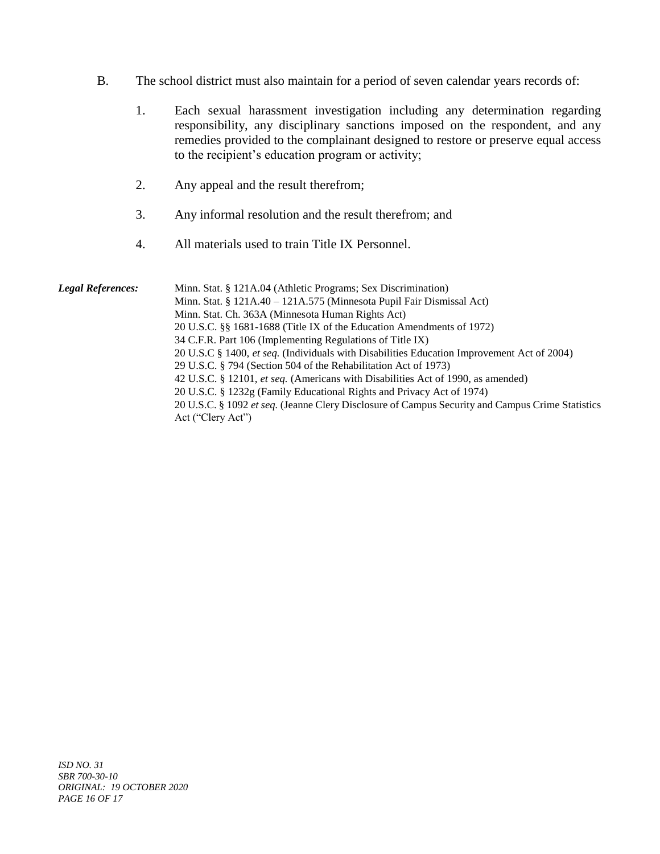- B. The school district must also maintain for a period of seven calendar years records of:
	- 1. Each sexual harassment investigation including any determination regarding responsibility, any disciplinary sanctions imposed on the respondent, and any remedies provided to the complainant designed to restore or preserve equal access to the recipient's education program or activity;
	- 2. Any appeal and the result therefrom;
	- 3. Any informal resolution and the result therefrom; and
	- 4. All materials used to train Title IX Personnel.

| <b>Legal References:</b> | Minn. Stat. § 121A.04 (Athletic Programs; Sex Discrimination)<br>Minn. Stat. § 121A.40 - 121A.575 (Minnesota Pupil Fair Dismissal Act)<br>Minn. Stat. Ch. 363A (Minnesota Human Rights Act)<br>20 U.S.C. §§ 1681-1688 (Title IX of the Education Amendments of 1972)<br>34 C.F.R. Part 106 (Implementing Regulations of Title IX)<br>20 U.S.C § 1400, et seq. (Individuals with Disabilities Education Improvement Act of 2004)<br>29 U.S.C. § 794 (Section 504 of the Rehabilitation Act of 1973)<br>42 U.S.C. § 12101, et seq. (Americans with Disabilities Act of 1990, as amended)<br>20 U.S.C. § 1232g (Family Educational Rights and Privacy Act of 1974)<br>20 U.S.C. § 1092 et seq. (Jeanne Clery Disclosure of Campus Security and Campus Crime Statistics<br>Act ("Clery Act") |
|--------------------------|------------------------------------------------------------------------------------------------------------------------------------------------------------------------------------------------------------------------------------------------------------------------------------------------------------------------------------------------------------------------------------------------------------------------------------------------------------------------------------------------------------------------------------------------------------------------------------------------------------------------------------------------------------------------------------------------------------------------------------------------------------------------------------------|
|--------------------------|------------------------------------------------------------------------------------------------------------------------------------------------------------------------------------------------------------------------------------------------------------------------------------------------------------------------------------------------------------------------------------------------------------------------------------------------------------------------------------------------------------------------------------------------------------------------------------------------------------------------------------------------------------------------------------------------------------------------------------------------------------------------------------------|